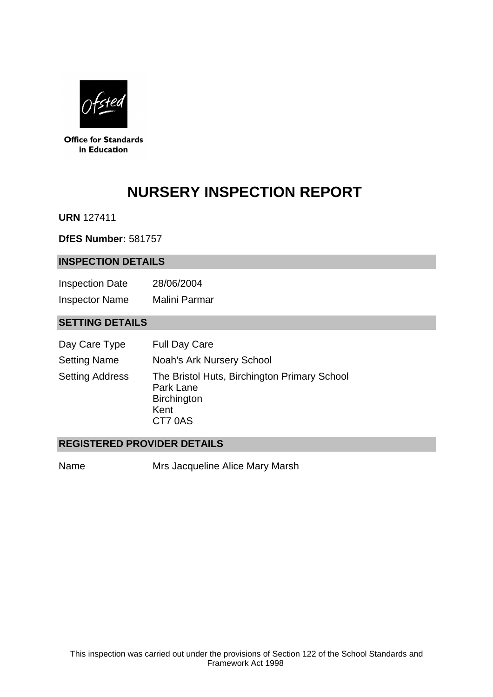

**Office for Standards** in Education

# **NURSERY INSPECTION REPORT**

**URN** 127411

**DfES Number:** 581757

#### **INSPECTION DETAILS**

Inspection Date 28/06/2004 Inspector Name Malini Parmar

# **SETTING DETAILS**

| Day Care Type          | <b>Full Day Care</b>                                                                               |
|------------------------|----------------------------------------------------------------------------------------------------|
| <b>Setting Name</b>    | <b>Noah's Ark Nursery School</b>                                                                   |
| <b>Setting Address</b> | The Bristol Huts, Birchington Primary School<br>Park Lane<br><b>Birchington</b><br>Kent<br>CT7 0AS |

## **REGISTERED PROVIDER DETAILS**

Name Mrs Jacqueline Alice Mary Marsh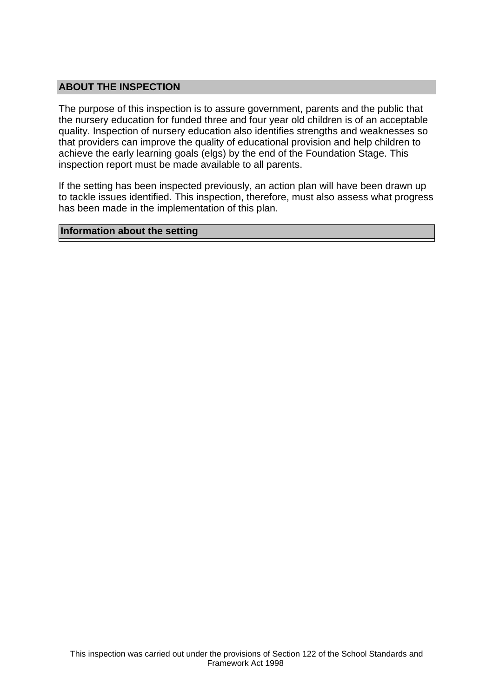## **ABOUT THE INSPECTION**

The purpose of this inspection is to assure government, parents and the public that the nursery education for funded three and four year old children is of an acceptable quality. Inspection of nursery education also identifies strengths and weaknesses so that providers can improve the quality of educational provision and help children to achieve the early learning goals (elgs) by the end of the Foundation Stage. This inspection report must be made available to all parents.

If the setting has been inspected previously, an action plan will have been drawn up to tackle issues identified. This inspection, therefore, must also assess what progress has been made in the implementation of this plan.

#### **Information about the setting**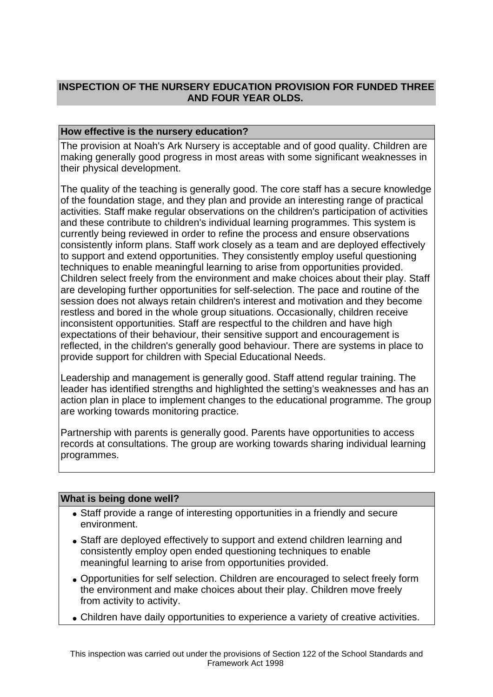# **INSPECTION OF THE NURSERY EDUCATION PROVISION FOR FUNDED THREE AND FOUR YEAR OLDS.**

## **How effective is the nursery education?**

The provision at Noah's Ark Nursery is acceptable and of good quality. Children are making generally good progress in most areas with some significant weaknesses in their physical development.

The quality of the teaching is generally good. The core staff has a secure knowledge of the foundation stage, and they plan and provide an interesting range of practical activities. Staff make regular observations on the children's participation of activities and these contribute to children's individual learning programmes. This system is currently being reviewed in order to refine the process and ensure observations consistently inform plans. Staff work closely as a team and are deployed effectively to support and extend opportunities. They consistently employ useful questioning techniques to enable meaningful learning to arise from opportunities provided. Children select freely from the environment and make choices about their play. Staff are developing further opportunities for self-selection. The pace and routine of the session does not always retain children's interest and motivation and they become restless and bored in the whole group situations. Occasionally, children receive inconsistent opportunities. Staff are respectful to the children and have high expectations of their behaviour, their sensitive support and encouragement is reflected, in the children's generally good behaviour. There are systems in place to provide support for children with Special Educational Needs.

Leadership and management is generally good. Staff attend regular training. The leader has identified strengths and highlighted the setting's weaknesses and has an action plan in place to implement changes to the educational programme. The group are working towards monitoring practice.

Partnership with parents is generally good. Parents have opportunities to access records at consultations. The group are working towards sharing individual learning programmes.

### **What is being done well?**

- Staff provide a range of interesting opportunities in a friendly and secure environment.
- Staff are deployed effectively to support and extend children learning and consistently employ open ended questioning techniques to enable meaningful learning to arise from opportunities provided.
- Opportunities for self selection. Children are encouraged to select freely form the environment and make choices about their play. Children move freely from activity to activity.
- Children have daily opportunities to experience a variety of creative activities.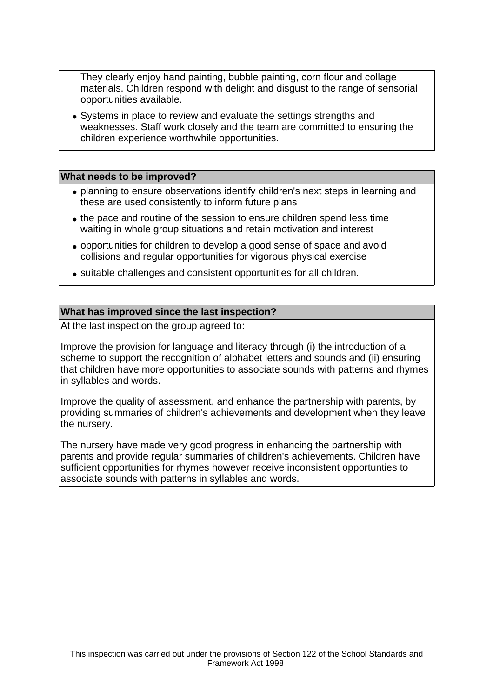They clearly enjoy hand painting, bubble painting, corn flour and collage materials. Children respond with delight and disgust to the range of sensorial opportunities available.

• Systems in place to review and evaluate the settings strengths and weaknesses. Staff work closely and the team are committed to ensuring the children experience worthwhile opportunities.

#### **What needs to be improved?**

- planning to ensure observations identify children's next steps in learning and these are used consistently to inform future plans
- the pace and routine of the session to ensure children spend less time waiting in whole group situations and retain motivation and interest
- opportunities for children to develop a good sense of space and avoid collisions and regular opportunities for vigorous physical exercise
- suitable challenges and consistent opportunities for all children.

#### **What has improved since the last inspection?**

At the last inspection the group agreed to:

Improve the provision for language and literacy through (i) the introduction of a scheme to support the recognition of alphabet letters and sounds and (ii) ensuring that children have more opportunities to associate sounds with patterns and rhymes in syllables and words.

Improve the quality of assessment, and enhance the partnership with parents, by providing summaries of children's achievements and development when they leave the nursery.

The nursery have made very good progress in enhancing the partnership with parents and provide regular summaries of children's achievements. Children have sufficient opportunities for rhymes however receive inconsistent opportunties to associate sounds with patterns in syllables and words.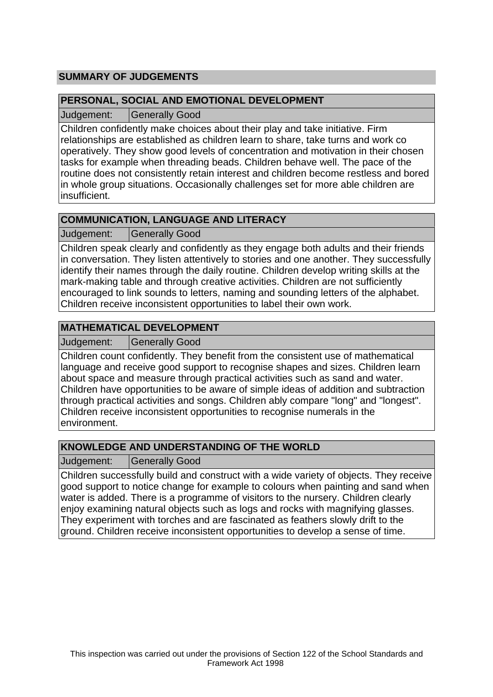# **SUMMARY OF JUDGEMENTS**

## **PERSONAL, SOCIAL AND EMOTIONAL DEVELOPMENT**

Judgement: Generally Good

Children confidently make choices about their play and take initiative. Firm relationships are established as children learn to share, take turns and work co operatively. They show good levels of concentration and motivation in their chosen tasks for example when threading beads. Children behave well. The pace of the routine does not consistently retain interest and children become restless and bored in whole group situations. Occasionally challenges set for more able children are insufficient.

# **COMMUNICATION, LANGUAGE AND LITERACY**

Judgement: Generally Good

Children speak clearly and confidently as they engage both adults and their friends in conversation. They listen attentively to stories and one another. They successfully identify their names through the daily routine. Children develop writing skills at the mark-making table and through creative activities. Children are not sufficiently encouraged to link sounds to letters, naming and sounding letters of the alphabet. Children receive inconsistent opportunities to label their own work.

## **MATHEMATICAL DEVELOPMENT**

Judgement: | Generally Good

Children count confidently. They benefit from the consistent use of mathematical language and receive good support to recognise shapes and sizes. Children learn about space and measure through practical activities such as sand and water. Children have opportunities to be aware of simple ideas of addition and subtraction through practical activities and songs. Children ably compare "long" and "longest". Children receive inconsistent opportunities to recognise numerals in the environment.

# **KNOWLEDGE AND UNDERSTANDING OF THE WORLD**

Judgement: Generally Good

Children successfully build and construct with a wide variety of objects. They receive good support to notice change for example to colours when painting and sand when water is added. There is a programme of visitors to the nursery. Children clearly enjoy examining natural objects such as logs and rocks with magnifying glasses. They experiment with torches and are fascinated as feathers slowly drift to the ground. Children receive inconsistent opportunities to develop a sense of time.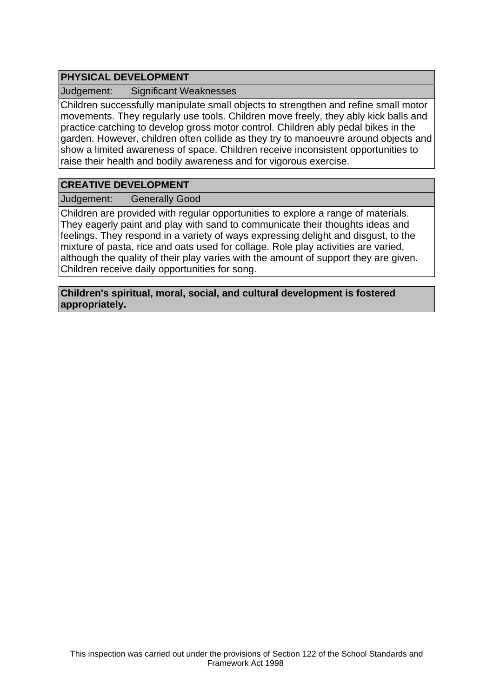# **PHYSICAL DEVELOPMENT**

Judgement: Significant Weaknesses

Children successfully manipulate small objects to strengthen and refine small motor movements. They regularly use tools. Children move freely, they ably kick balls and practice catching to develop gross motor control. Children ably pedal bikes in the garden. However, children often collide as they try to manoeuvre around objects and show a limited awareness of space. Children receive inconsistent opportunities to raise their health and bodily awareness and for vigorous exercise.

## **CREATIVE DEVELOPMENT**

Judgement: | Generally Good

Children are provided with regular opportunities to explore a range of materials. They eagerly paint and play with sand to communicate their thoughts ideas and feelings. They respond in a variety of ways expressing delight and disgust, to the mixture of pasta, rice and oats used for collage. Role play activities are varied, although the quality of their play varies with the amount of support they are given. Children receive daily opportunities for song.

**Children's spiritual, moral, social, and cultural development is fostered appropriately.**